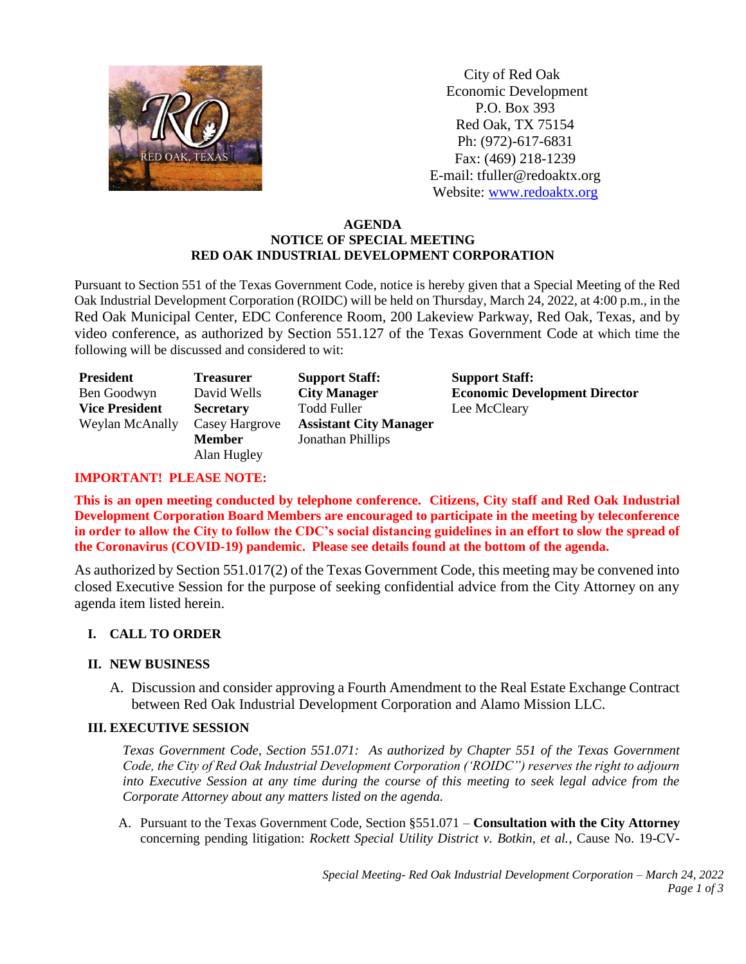

 City of Red Oak Economic Development P.O. Box 393 Red Oak, TX 75154 Ph: (972)-617-6831 Fax: (469) 218-1239 E-mail: tfuller@redoaktx.org Website: [www.redoaktx.org](http://www.redoaktx.org/)

### **AGENDA NOTICE OF SPECIAL MEETING RED OAK INDUSTRIAL DEVELOPMENT CORPORATION**

Pursuant to Section 551 of the Texas Government Code, notice is hereby given that a Special Meeting of the Red Oak Industrial Development Corporation (ROIDC) will be held on Thursday, March 24, 2022, at 4:00 p.m., in the Red Oak Municipal Center, EDC Conference Room, 200 Lakeview Parkway, Red Oak, Texas, and by video conference, as authorized by Section 551.127 of the Texas Government Code at which time the following will be discussed and considered to wit:

| <b>President</b>      | <b>Treasurer</b> | <b>Support Staff:</b>         | <b>Support Staff:</b> |
|-----------------------|------------------|-------------------------------|-----------------------|
| Ben Goodwyn           | David Wells      | <b>City Manager</b>           | <b>Economic Dev</b>   |
| <b>Vice President</b> | <b>Secretary</b> | <b>Todd Fuller</b>            | Lee McCleary          |
| Weylan McAnally       | Casey Hargrove   | <b>Assistant City Manager</b> |                       |
|                       | <b>Member</b>    | Jonathan Phillips             |                       |
|                       | Alan Hugley      |                               |                       |

**Relopment Director** 

# **IMPORTANT! PLEASE NOTE:**

**This is an open meeting conducted by telephone conference. Citizens, City staff and Red Oak Industrial Development Corporation Board Members are encouraged to participate in the meeting by teleconference in order to allow the City to follow the CDC's social distancing guidelines in an effort to slow the spread of the Coronavirus (COVID-19) pandemic. Please see details found at the bottom of the agenda.**

As authorized by Section 551.017(2) of the Texas Government Code, this meeting may be convened into closed Executive Session for the purpose of seeking confidential advice from the City Attorney on any agenda item listed herein.

## **I. CALL TO ORDER**

## **II. NEW BUSINESS**

A. Discussion and consider approving a Fourth Amendment to the Real Estate Exchange Contract between Red Oak Industrial Development Corporation and Alamo Mission LLC.

## **III. EXECUTIVE SESSION**

*Texas Government Code, Section 551.071: As authorized by Chapter 551 of the Texas Government Code, the City of Red Oak Industrial Development Corporation ('ROIDC") reserves the right to adjourn into Executive Session at any time during the course of this meeting to seek legal advice from the Corporate Attorney about any matters listed on the agenda.*

A. Pursuant to the Texas Government Code, Section §551.071 – **Consultation with the City Attorney**  concerning pending litigation: *Rockett Special Utility District v. Botkin, et al.*, Cause No. 19-CV-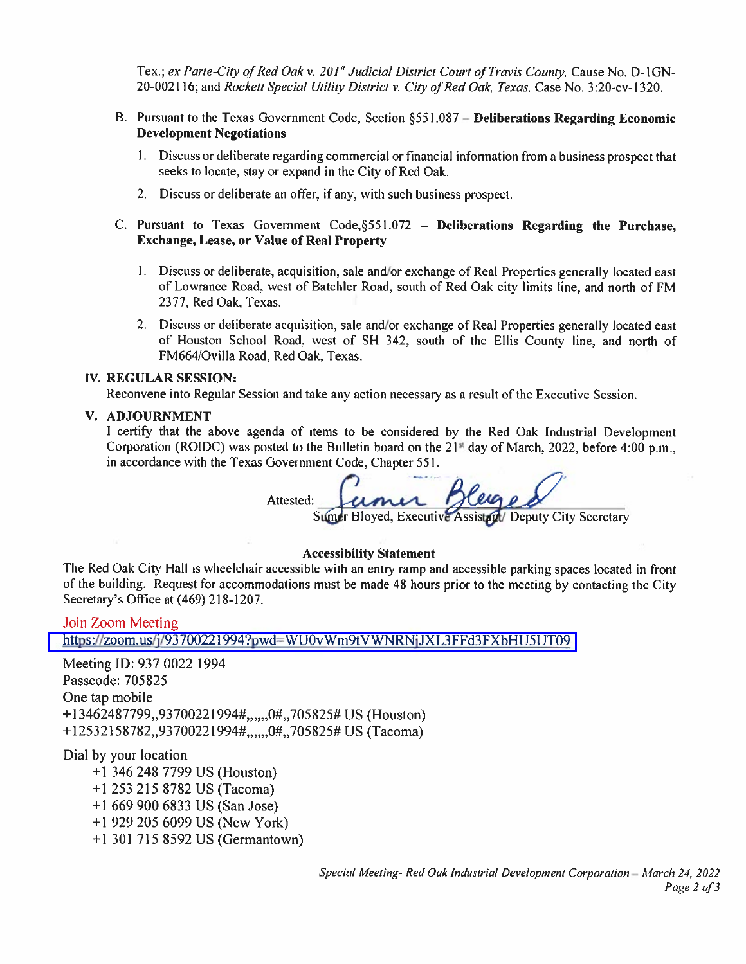Tex.; ex Parte-City of Red Oak v. 201<sup>st</sup> Judicial District Court of Travis County, Cause No. D-1GN-20-002116; and Rockett Special Utility District v. City of Red Oak, Texas, Case No. 3:20-cv-1320.

- B. Pursuant to the Texas Government Code, Section §551.087 Deliberations Regarding Economic **Development Negotiations** 
	- 1. Discuss or deliberate regarding commercial or financial information from a business prospect that seeks to locate, stay or expand in the City of Red Oak.
	- 2. Discuss or deliberate an offer, if any, with such business prospect.
- C. Pursuant to Texas Government Code,  $\S551.072$  Deliberations Regarding the Purchase, **Exchange, Lease, or Value of Real Property** 
	- 1. Discuss or deliberate, acquisition, sale and/or exchange of Real Properties generally located east of Lowrance Road, west of Batchler Road, south of Red Oak city limits line, and north of FM 2377, Red Oak, Texas.
	- 2. Discuss or deliberate acquisition, sale and/or exchange of Real Properties generally located east of Houston School Road, west of SH 342, south of the Ellis County line, and north of FM664/Ovilla Road, Red Oak, Texas.

#### IV. REGULAR SESSION:

Reconvene into Regular Session and take any action necessary as a result of the Executive Session.

#### V. ADJOURNMENT

I certify that the above agenda of items to be considered by the Red Oak Industrial Development Corporation (ROIDC) was posted to the Bulletin board on the  $21<sup>st</sup>$  day of March, 2022, before 4:00 p.m., in accordance with the Texas Government Code, Chapter 551.

Attested:

Sumer Bloyed, Executive Assistant Deputy City Secretary

#### **Accessibility Statement**

The Red Oak City Hall is wheelchair accessible with an entry ramp and accessible parking spaces located in front of the building. Request for accommodations must be made 48 hours prior to the meeting by contacting the City Secretary's Office at (469) 218-1207.

### Join Zoom Meeting

https://zoom.us/j/93700221994?pwd=WU0vWm9tVWNRNjJXL3FFd3FXbHU5UT09

Meeting ID: 937 0022 1994 Passcode: 705825 One tap mobile +13462487799,,93700221994#,,,,,,0#,,705825# US (Houston) +12532158782,,93700221994#,,,,,,0#,,705825# US (Tacoma)

Dial by your location

+1 346 248 7799 US (Houston) +1 253 215 8782 US (Tacoma) +1 669 900 6833 US (San Jose)  $+1$  929 205 6099 US (New York) +1 301 715 8592 US (Germantown)